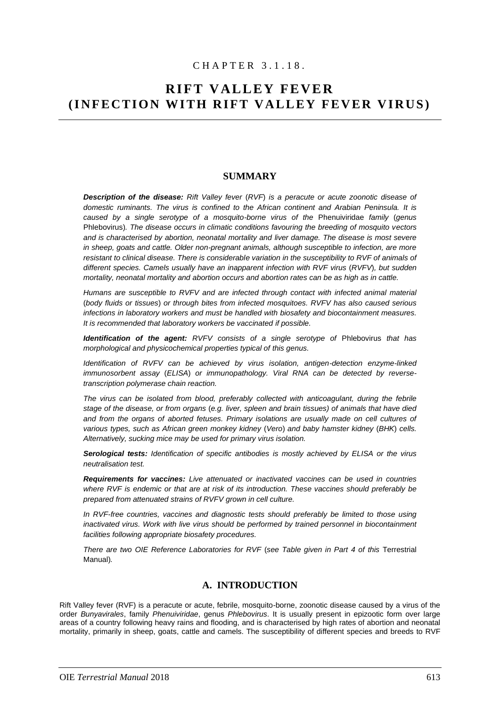# C H A P T E R 3 . 1 . 1 8 .

# **RIFT VALLEY FEVER (INFECTION WITH RIFT VALLEY FEVER VIRUS)**

# **SUMMARY**

*Description of the disease: Rift Valley fever* (*RVF*) *is a peracute or acute zoonotic disease of domestic ruminants. The virus is confined to the African continent and Arabian Peninsula. It is caused by a single serotype of a mosquito-borne virus of the* Phenuiviridae *family* (*genus*  Phlebovirus)*. The disease occurs in climatic conditions favouring the breeding of mosquito vectors and is characterised by abortion, neonatal mortality and liver damage. The disease is most severe in sheep, goats and cattle. Older non-pregnant animals, although susceptible to infection, are more resistant to clinical disease. There is considerable variation in the susceptibility to RVF of animals of different species. Camels usually have an inapparent infection with RVF virus* (*RVFV*)*, but sudden mortality, neonatal mortality and abortion occurs and abortion rates can be as high as in cattle.*

*Humans are susceptible to RVFV and are infected through contact with infected animal material*  (*body fluids or tissues*) *or through bites from infected mosquitoes. RVFV has also caused serious infections in laboratory workers and must be handled with biosafety and biocontainment measures. It is recommended that laboratory workers be vaccinated if possible.*

*Identification of the agent: RVFV consists of a single serotype of* Phlebovirus *that has morphological and physicochemical properties typical of this genus.* 

*Identification of RVFV can be achieved by virus isolation, antigen-detection enzyme-linked immunosorbent assay* (*ELISA*) *or immun*o*pathology. Viral RNA can be detected by reversetranscription polymerase chain reaction.*

The virus can be isolated from blood, preferably collected with anticoagulant, during the febrile *stage of the disease, or from organs* (*e.g. liver, spleen and brain tissues) of animals that have died and from the organs of aborted fetuses. Primary isolations are usually made on cell cultures of various types, such as African green monkey kidney* (*Vero*) *and baby hamster kidney* (*BHK*) *cells. Alternatively, sucking mice may be used for primary virus isolation.*

*Serological tests: Identification of specific antibodies is mostly achieved by ELISA or the virus neutralisation test.* 

*Requirements for vaccines: Live attenuated or inactivated vaccines can be used in countries where RVF is endemic or that are at risk of its introduction. These vaccines should preferably be prepared from attenuated strains of RVFV grown in cell culture.* 

*In RVF-free countries, vaccines and diagnostic tests should preferably be limited to those using inactivated virus. Work with live virus should be performed by trained personnel in biocontainment facilities following appropriate biosafety procedures.* 

*There are two OIE Reference Laboratories for RVF* (*see Table given in Part 4 of this* Terrestrial Manual)*.*

# **A. INTRODUCTION**

Rift Valley fever (RVF) is a peracute or acute, febrile, mosquito-borne, zoonotic disease caused by a virus of the order *Bunyavirales*, family *Phenuiviridae*, genus *Phlebovirus*. It is usually present in epizootic form over large areas of a country following heavy rains and flooding, and is characterised by high rates of abortion and neonatal mortality, primarily in sheep, goats, cattle and camels. The susceptibility of different species and breeds to RVF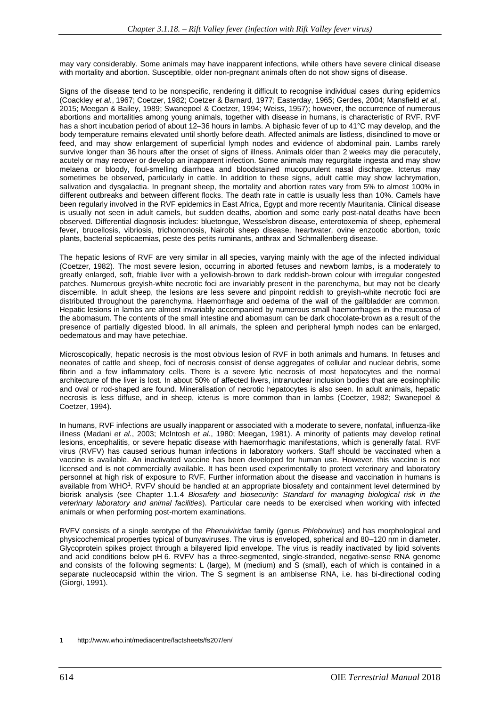may vary considerably. Some animals may have inapparent infections, while others have severe clinical disease with mortality and abortion. Susceptible, older non-pregnant animals often do not show signs of disease.

Signs of the disease tend to be nonspecific, rendering it difficult to recognise individual cases during epidemics (Coackley *et al.*, 1967; Coetzer, 1982; Coetzer & Barnard, 1977; Easterday, 1965; Gerdes, 2004; Mansfield *et al.,*  2015; Meegan & Bailey, 1989; Swanepoel & Coetzer, 1994; Weiss, 1957); however, the occurrence of numerous abortions and mortalities among young animals, together with disease in humans, is characteristic of RVF. RVF has a short incubation period of about 12–36 hours in lambs. A biphasic fever of up to 41°C may develop, and the body temperature remains elevated until shortly before death. Affected animals are listless, disinclined to move or feed, and may show enlargement of superficial lymph nodes and evidence of abdominal pain. Lambs rarely survive longer than 36 hours after the onset of signs of illness. Animals older than 2 weeks may die peracutely, acutely or may recover or develop an inapparent infection. Some animals may regurgitate ingesta and may show melaena or bloody, foul-smelling diarrhoea and bloodstained mucopurulent nasal discharge. Icterus may sometimes be observed, particularly in cattle. In addition to these signs, adult cattle may show lachrymation, salivation and dysgalactia. In pregnant sheep, the mortality and abortion rates vary from 5% to almost 100% in different outbreaks and between different flocks. The death rate in cattle is usually less than 10%. Camels have been regularly involved in the RVF epidemics in East Africa, Egypt and more recently Mauritania. Clinical disease is usually not seen in adult camels, but sudden deaths, abortion and some early post-natal deaths have been observed. Differential diagnosis includes: bluetongue, Wesselsbron disease, enterotoxemia of sheep, ephemeral fever, brucellosis, vibriosis, trichomonosis, Nairobi sheep disease, heartwater, ovine enzootic abortion, toxic plants, bacterial septicaemias, peste des petits ruminants, anthrax and Schmallenberg disease.

The hepatic lesions of RVF are very similar in all species, varying mainly with the age of the infected individual (Coetzer, 1982). The most severe lesion, occurring in aborted fetuses and newborn lambs, is a moderately to greatly enlarged, soft, friable liver with a yellowish-brown to dark reddish-brown colour with irregular congested patches. Numerous greyish-white necrotic foci are invariably present in the parenchyma, but may not be clearly discernible. In adult sheep, the lesions are less severe and pinpoint reddish to greyish-white necrotic foci are distributed throughout the parenchyma. Haemorrhage and oedema of the wall of the gallbladder are common. Hepatic lesions in lambs are almost invariably accompanied by numerous small haemorrhages in the mucosa of the abomasum. The contents of the small intestine and abomasum can be dark chocolate-brown as a result of the presence of partially digested blood. In all animals, the spleen and peripheral lymph nodes can be enlarged, oedematous and may have petechiae.

Microscopically, hepatic necrosis is the most obvious lesion of RVF in both animals and humans. In fetuses and neonates of cattle and sheep, foci of necrosis consist of dense aggregates of cellular and nuclear debris, some fibrin and a few inflammatory cells. There is a severe lytic necrosis of most hepatocytes and the normal architecture of the liver is lost. In about 50% of affected livers, intranuclear inclusion bodies that are eosinophilic and oval or rod-shaped are found. Mineralisation of necrotic hepatocytes is also seen. In adult animals, hepatic necrosis is less diffuse, and in sheep, icterus is more common than in lambs (Coetzer, 1982; Swanepoel & Coetzer, 1994).

In humans, RVF infections are usually inapparent or associated with a moderate to severe, nonfatal, influenza-like illness (Madani *et al.*, 2003; McIntosh *et al.*, 1980; Meegan, 1981). A minority of patients may develop retinal lesions, encephalitis, or severe hepatic disease with haemorrhagic manifestations, which is generally fatal. RVF virus (RVFV) has caused serious human infections in laboratory workers. Staff should be vaccinated when a vaccine is available. An inactivated vaccine has been developed for human use. However, this vaccine is not licensed and is not commercially available. It has been used experimentally to protect veterinary and laboratory personnel at high risk of exposure to RVF. Further information about the disease and vaccination in humans is available from WHO<sup>1</sup>. RVFV should be handled at an appropriate biosafety and containment level determined by biorisk analysis (see Chapter 1.1.4 *Biosafety and biosecurity: Standard for managing biological risk in the veterinary laboratory and animal facilities*). Particular care needs to be exercised when working with infected animals or when performing post-mortem examinations.

RVFV consists of a single serotype of the *Phenuiviridae* family (genus *Phlebovirus*) and has morphological and physicochemical properties typical of bunyaviruses. The virus is enveloped, spherical and 80–120 nm in diameter. Glycoprotein spikes project through a bilayered lipid envelope. The virus is readily inactivated by lipid solvents and acid conditions below pH 6. RVFV has a three-segmented, single-stranded, negative-sense RNA genome and consists of the following segments: L (large), M (medium) and S (small), each of which is contained in a separate nucleocapsid within the virion. The S segment is an ambisense RNA, i.e. has bi-directional coding (Giorgi, 1991).

<sup>1</sup> http://www.who.int/mediacentre/factsheets/fs207/en/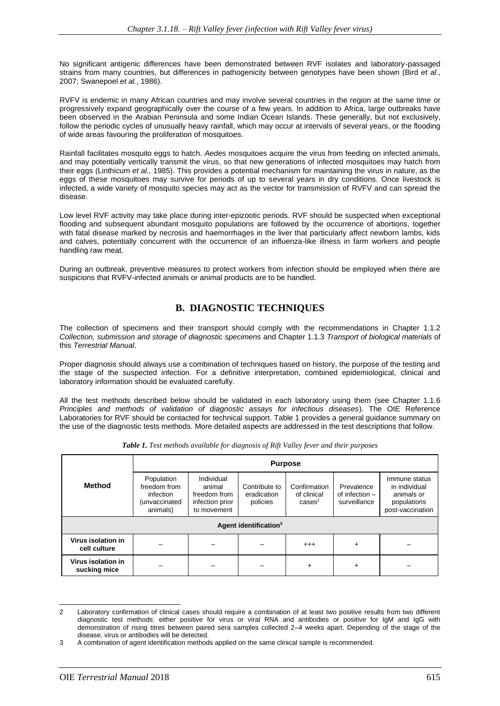No significant antigenic differences have been demonstrated between RVF isolates and laboratory-passaged strains from many countries, but differences in pathogenicity between genotypes have been shown (Bird *et al.*, 2007; Swanepoel *et al.*, 1986).

RVFV is endemic in many African countries and may involve several countries in the region at the same time or progressively expand geographically over the course of a few years. In addition to Africa, large outbreaks have been observed in the Arabian Peninsula and some Indian Ocean Islands. These generally, but not exclusively, follow the periodic cycles of unusually heavy rainfall, which may occur at intervals of several years, or the flooding of wide areas favouring the proliferation of mosquitoes.

Rainfall facilitates mosquito eggs to hatch. *Aedes* mosquitoes acquire the virus from feeding on infected animals, and may potentially vertically transmit the virus, so that new generations of infected mosquitoes may hatch from their eggs (Linthicum *et al.,* 1985). This provides a potential mechanism for maintaining the virus in nature, as the eggs of these mosquitoes may survive for periods of up to several years in dry conditions. Once livestock is infected, a wide variety of mosquito species may act as the vector for transmission of RVFV and can spread the disease.

Low level RVF activity may take place during inter-epizootic periods. RVF should be suspected when exceptional flooding and subsequent abundant mosquito populations are followed by the occurrence of abortions, together with fatal disease marked by necrosis and haemorrhages in the liver that particularly affect newborn lambs, kids and calves, potentially concurrent with the occurrence of an influenza-like illness in farm workers and people handling raw meat.

During an outbreak, preventive measures to protect workers from infection should be employed when there are suspicions that RVFV-infected animals or animal products are to be handled.

# **B. DIAGNOSTIC TECHNIQUES**

The collection of specimens and their transport should comply with the recommendations in Chapter 1.1.2 *Collection, submission and storage of diagnostic specimens* and Chapter 1.1.3 *Transport of biological materials* of this *Terrestrial Manual*.

Proper diagnosis should always use a combination of techniques based on history, the purpose of the testing and the stage of the suspected infection. For a definitive interpretation, combined epidemiological, clinical and laboratory information should be evaluated carefully.

All the test methods described below should be validated in each laboratory using them (see Chapter 1.1.6 *[Principles and methods of validation of diagnostic assays for infectious diseases](http://www.oie.int/fileadmin/Home/eng/Health_standards/tahm/1.01.05_VALIDATION.pdf)*). The OIE Reference Laboratories for RVF should be contacted for technical support. Table 1 provides a general guidance summary on the use of the diagnostic tests methods. More detailed aspects are addressed in the test descriptions that follow.

|                                    | <b>Purpose</b>                                                       |                                                                        |                                          |                                                   |                                                |                                                                                 |  |
|------------------------------------|----------------------------------------------------------------------|------------------------------------------------------------------------|------------------------------------------|---------------------------------------------------|------------------------------------------------|---------------------------------------------------------------------------------|--|
| <b>Method</b>                      | Population<br>freedom from<br>infection<br>(unvaccinated<br>animals) | Individual<br>animal<br>freedom from<br>infection prior<br>to movement | Contribute to<br>eradication<br>policies | Confirmation<br>of clinical<br>cases <sup>2</sup> | Prevalence<br>of infection $-$<br>surveillance | Immune status<br>in individual<br>animals or<br>populations<br>post-vaccination |  |
| Agent identification <sup>3</sup>  |                                                                      |                                                                        |                                          |                                                   |                                                |                                                                                 |  |
| Virus isolation in<br>cell culture |                                                                      |                                                                        |                                          | $^{+++}$                                          | $\ddot{}$                                      |                                                                                 |  |
| Virus isolation in<br>sucking mice |                                                                      |                                                                        |                                          | $\div$                                            | $\ddot{}$                                      |                                                                                 |  |

*Table 1. Test methods available for diagnosis of Rift Valley fever and their purposes*

<sup>2</sup> Laboratory confirmation of clinical cases should require a combination of at least two positive results from two different diagnostic test methods: either positive for virus or viral RNA and antibodies or positive for IgM and IgG with demonstration of rising titres between paired sera samples collected 2–4 weeks apart. Depending of the stage of the disease, virus or antibodies will be detected.

A combination of agent identification methods applied on the same clinical sample is recommended.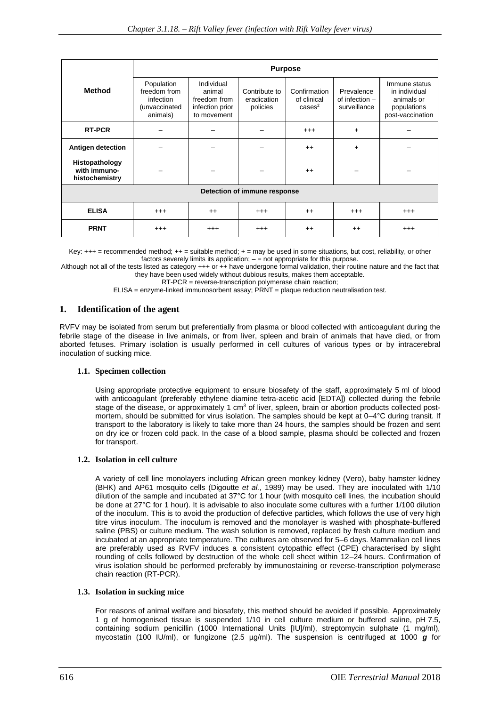|                                                  | <b>Purpose</b>                                                       |                                                                        |                                          |                                                   |                                                |                                                                                 |  |
|--------------------------------------------------|----------------------------------------------------------------------|------------------------------------------------------------------------|------------------------------------------|---------------------------------------------------|------------------------------------------------|---------------------------------------------------------------------------------|--|
| <b>Method</b>                                    | Population<br>freedom from<br>infection<br>(unvaccinated<br>animals) | Individual<br>animal<br>freedom from<br>infection prior<br>to movement | Contribute to<br>eradication<br>policies | Confirmation<br>of clinical<br>cases <sup>2</sup> | Prevalence<br>of infection $-$<br>surveillance | Immune status<br>in individual<br>animals or<br>populations<br>post-vaccination |  |
| <b>RT-PCR</b>                                    |                                                                      |                                                                        |                                          | $^{+++}$                                          | $+$                                            |                                                                                 |  |
| Antigen detection                                |                                                                      |                                                                        |                                          | $++$                                              | $+$                                            |                                                                                 |  |
| Histopathology<br>with immuno-<br>histochemistry |                                                                      |                                                                        |                                          | $++$                                              |                                                |                                                                                 |  |
| Detection of immune response                     |                                                                      |                                                                        |                                          |                                                   |                                                |                                                                                 |  |
| <b>ELISA</b>                                     | $^{+++}$                                                             | $^{++}$                                                                | $^{+++}$                                 | $++$                                              | $^{+++}$                                       | $^{++}$                                                                         |  |
| <b>PRNT</b>                                      | $^{+++}$                                                             | $^{++}$                                                                | $^{+++}$                                 | $++$                                              | $++$                                           | $^{++}$                                                                         |  |

Key: +++ = recommended method; ++ = suitable method; + = may be used in some situations, but cost, reliability, or other factors severely limits its application;  $-$  = not appropriate for this purpose.

Although not all of the tests listed as category +++ or ++ have undergone formal validation, their routine nature and the fact that they have been used widely without dubious results, makes them acceptable.

RT-PCR = reverse-transcription polymerase chain reaction;

ELISA = enzyme-linked immunosorbent assay; PRNT = plaque reduction neutralisation test.

# **1. Identification of the agent**

RVFV may be isolated from serum but preferentially from plasma or blood collected with anticoagulant during the febrile stage of the disease in live animals, or from liver, spleen and brain of animals that have died, or from aborted fetuses. Primary isolation is usually performed in cell cultures of various types or by intracerebral inoculation of sucking mice.

# **1.1. Specimen collection**

Using appropriate protective equipment to ensure biosafety of the staff, approximately 5 ml of blood with anticoagulant (preferably ethylene diamine tetra-acetic acid [EDTA]) collected during the febrile stage of the disease, or approximately 1 cm<sup>3</sup> of liver, spleen, brain or abortion products collected postmortem, should be submitted for virus isolation. The samples should be kept at 0-4°C during transit. If transport to the laboratory is likely to take more than 24 hours, the samples should be frozen and sent on dry ice or frozen cold pack. In the case of a blood sample, plasma should be collected and frozen for transport.

# **1.2. Isolation in cell culture**

A variety of cell line monolayers including African green monkey kidney (Vero), baby hamster kidney (BHK) and AP61 mosquito cells (Digoutte *et al.*, 1989) may be used. They are inoculated with 1/10 dilution of the sample and incubated at 37°C for 1 hour (with mosquito cell lines, the incubation should be done at 27°C for 1 hour). It is advisable to also inoculate some cultures with a further 1/100 dilution of the inoculum. This is to avoid the production of defective particles, which follows the use of very high titre virus inoculum. The inoculum is removed and the monolayer is washed with phosphate-buffered saline (PBS) or culture medium. The wash solution is removed, replaced by fresh culture medium and incubated at an appropriate temperature. The cultures are observed for 5–6 days. Mammalian cell lines are preferably used as RVFV induces a consistent cytopathic effect (CPE) characterised by slight rounding of cells followed by destruction of the whole cell sheet within 12–24 hours. Confirmation of virus isolation should be performed preferably by immunostaining or reverse-transcription polymerase chain reaction (RT-PCR).

#### **1.3. Isolation in sucking mice**

For reasons of animal welfare and biosafety, this method should be avoided if possible. Approximately 1 g of homogenised tissue is suspended 1/10 in cell culture medium or buffered saline, pH 7.5, containing sodium penicillin (1000 International Units [IU]/ml), streptomycin sulphate (1 mg/ml), mycostatin (100 IU/ml), or fungizone (2.5 µg/ml). The suspension is centrifuged at 1000 *g* for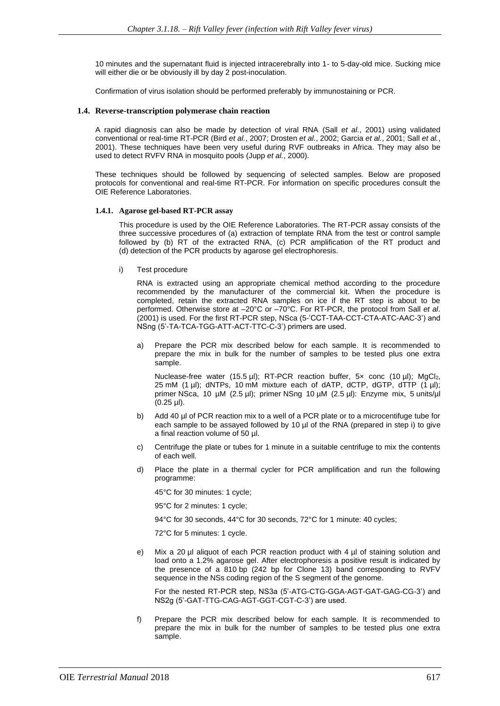10 minutes and the supernatant fluid is injected intracerebrally into 1- to 5-day-old mice. Sucking mice will either die or be obviously ill by day 2 post-inoculation.

Confirmation of virus isolation should be performed preferably by immunostaining or PCR.

#### **1.4. Reverse-transcription polymerase chain reaction**

A rapid diagnosis can also be made by detection of viral RNA (Sall *et al.*, 2001) using validated conventional or real-time RT-PCR (Bird *et al.*, 2007; Drosten *et al.*, 2002; Garcia *et al.*, 2001; Sall *et al.*, 2001). These techniques have been very useful during RVF outbreaks in Africa. They may also be used to detect RVFV RNA in mosquito pools (Jupp *et al.*, 2000).

These techniques should be followed by sequencing of selected samples. Below are proposed protocols for conventional and real-time RT-PCR. For information on specific procedures consult the OIE Reference Laboratories.

#### **1.4.1. Agarose gel-based RT-PCR assay**

This procedure is used by the OIE Reference Laboratories. The RT-PCR assay consists of the three successive procedures of (a) extraction of template RNA from the test or control sample followed by (b) RT of the extracted RNA, (c) PCR amplification of the RT product and (d) detection of the PCR products by agarose gel electrophoresis.

i) Test procedure

RNA is extracted using an appropriate chemical method according to the procedure recommended by the manufacturer of the commercial kit. When the procedure is completed, retain the extracted RNA samples on ice if the RT step is about to be performed. Otherwise store at –20°C or –70°C. For RT-PCR, the protocol from Sall *et al*. (2001) is used. For the first RT-PCR step, NSca (5-'CCT-TAA-CCT-CTA-ATC-AAC-3') and NSng (5'-TA-TCA-TGG-ATT-ACT-TTC-C-3') primers are used.

a) Prepare the PCR mix described below for each sample. It is recommended to prepare the mix in bulk for the number of samples to be tested plus one extra sample.

Nuclease-free water (15.5 µl); RT-PCR reaction buffer,  $5x$  conc (10 µl); MgCl<sub>2</sub>, 25 mM  $(1 \mu l)$ ; dNTPs, 10 mM mixture each of dATP, dCTP, dGTP, dTTP  $(1 \mu l)$ ; primer NSca, 10 µM (2.5 µl); primer NSng 10 µM (2.5 µl): Enzyme mix, 5 units/µl (0.25 µl).

- b) Add 40 µl of PCR reaction mix to a well of a PCR plate or to a microcentifuge tube for each sample to be assayed followed by 10 µl of the RNA (prepared in step i) to give a final reaction volume of 50 µl.
- c) Centrifuge the plate or tubes for 1 minute in a suitable centrifuge to mix the contents of each well.
- d) Place the plate in a thermal cycler for PCR amplification and run the following programme:

45°C for 30 minutes: 1 cycle;

95°C for 2 minutes: 1 cycle;

94°C for 30 seconds, 44°C for 30 seconds, 72°C for 1 minute: 40 cycles;

72°C for 5 minutes: 1 cycle.

e) Mix a 20 µl aliquot of each PCR reaction product with 4 µl of staining solution and load onto a 1.2% agarose gel. After electrophoresis a positive result is indicated by the presence of a 810 bp (242 bp for Clone 13) band corresponding to RVFV sequence in the NSs coding region of the S segment of the genome.

For the nested RT-PCR step, NS3a (5'-ATG-CTG-GGA-AGT-GAT-GAG-CG-3') and NS2g (5'-GAT-TTG-CAG-AGT-GGT-CGT-C-3') are used.

f) Prepare the PCR mix described below for each sample. It is recommended to prepare the mix in bulk for the number of samples to be tested plus one extra sample.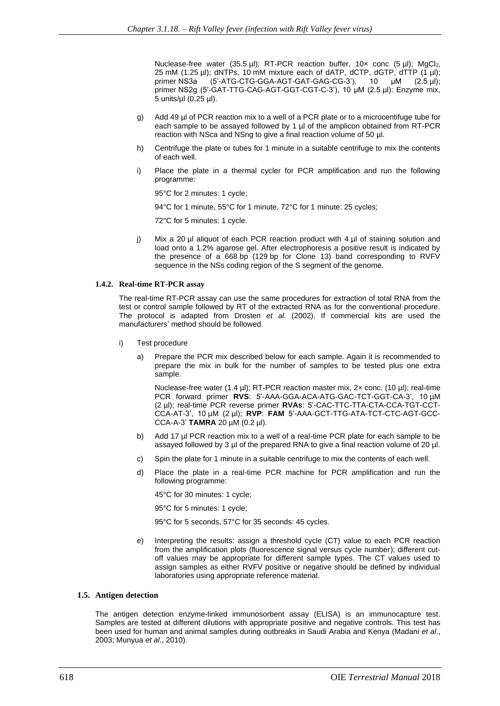Nuclease-free water  $(35.5 \text{ µ})$ ; RT-PCR reaction buffer,  $10 \times$  conc  $(5 \text{ µ})$ ; MgCl<sub>2</sub>, 25 mM (1.25  $\mu$ I); dNTPs, 10 mM mixture each of dATP, dCTP, dGTP, dTTP (1  $\mu$ I); primer NS3a (5'-ATG-CTG-GGA-AGT-GAT-GAG-CG-3'), 10 µM (2.5 µl); primer NS2g (5'-GAT-TTG-CAG-AGT-GGT-CGT-C-3'), 10 µM (2.5 µl): Enzyme mix, 5 units/µl (0.25 µl).

- g) Add 49 µl of PCR reaction mix to a well of a PCR plate or to a microcentifuge tube for each sample to be assayed followed by 1  $\mu$  of the amplicon obtained from RT-PCR reaction with NSca and NSng to give a final reaction volume of 50 µl.
- h) Centrifuge the plate or tubes for 1 minute in a suitable centrifuge to mix the contents of each well.
- i) Place the plate in a thermal cycler for PCR amplification and run the following programme:

95°C for 2 minutes: 1 cycle;

94°C for 1 minute, 55°C for 1 minute, 72°C for 1 minute: 25 cycles;

72°C for 5 minutes: 1 cycle.

j) Mix a 20 µl aliquot of each PCR reaction product with 4  $\mu$ l of staining solution and load onto a 1.2% agarose gel. After electrophoresis a positive result is indicated by the presence of a 668 bp (129 bp for Clone 13) band corresponding to RVFV sequence in the NSs coding region of the S segment of the genome.

#### **1.4.2. Real-time RT-PCR assay**

The real-time RT-PCR assay can use the same procedures for extraction of total RNA from the test or control sample followed by RT of the extracted RNA as for the conventional procedure. The protocol is adapted from Drosten *et al*. (2002). If commercial kits are used the manufacturers' method should be followed.

- i) Test procedure
	- a) Prepare the PCR mix described below for each sample. Again it is recommended to prepare the mix in bulk for the number of samples to be tested plus one extra sample.

Nuclease-free water (1.4 µl); RT-PCR reaction master mix,  $2 \times$  conc. (10 µl); real-time PCR forward primer **RVS**: 5'-AAA-GGA-ACA-ATG-GAC-TCT-GGT-CA-3', 10 µM (2 µl); real-time PCR reverse primer **RVAs**: 5'-CAC-TTC-TTA-CTA-CCA-TGT-CCT-CCA-AT-3', 10 µM (2 µl); **RVP**: **FAM** 5'-AAA-GCT-TTG-ATA-TCT-CTC-AGT-GCC-CCA-A-3' **TAMRA** 20 µM (0.2 µl).

- b) Add 17 µl PCR reaction mix to a well of a real-time PCR plate for each sample to be assayed followed by 3 µl of the prepared RNA to give a final reaction volume of 20 µl.
- c) Spin the plate for 1 minute in a suitable centrifuge to mix the contents of each well.
- d) Place the plate in a real-time PCR machine for PCR amplification and run the following programme:

45°C for 30 minutes: 1 cycle;

95°C for 5 minutes: 1 cycle;

95°C for 5 seconds, 57°C for 35 seconds: 45 cycles.

e) Interpreting the results: assign a threshold cycle (CT) value to each PCR reaction from the amplification plots (fluorescence signal versus cycle number); different cutoff values may be appropriate for different sample types. The CT values used to assign samples as either RVFV positive or negative should be defined by individual laboratories using appropriate reference material.

#### **1.5. Antigen detection**

The antigen detection enzyme-linked immunosorbent assay (ELISA) is an immunocapture test. Samples are tested at different dilutions with appropriate positive and negative controls. This test has been used for human and animal samples during outbreaks in Saudi Arabia and Kenya (Madani *et al*., 2003; Munyua *et al*., 2010).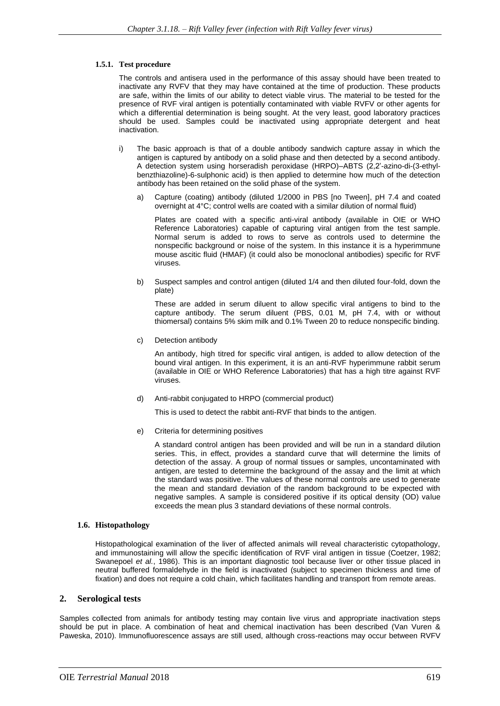# **1.5.1. Test procedure**

The controls and antisera used in the performance of this assay should have been treated to inactivate any RVFV that they may have contained at the time of production. These products are safe, within the limits of our ability to detect viable virus. The material to be tested for the presence of RVF viral antigen is potentially contaminated with viable RVFV or other agents for which a differential determination is being sought. At the very least, good laboratory practices should be used. Samples could be inactivated using appropriate detergent and heat inactivation.

- i) The basic approach is that of a double antibody sandwich capture assay in which the antigen is captured by antibody on a solid phase and then detected by a second antibody. A detection system using horseradish peroxidase (HRPO)–ABTS (2,2'-azino-di-(3-ethylbenzthiazoline)-6-sulphonic acid) is then applied to determine how much of the detection antibody has been retained on the solid phase of the system.
	- a) Capture (coating) antibody (diluted 1/2000 in PBS [no Tween], pH 7.4 and coated overnight at 4°C; control wells are coated with a similar dilution of normal fluid)

Plates are coated with a specific anti-viral antibody (available in OIE or WHO Reference Laboratories) capable of capturing viral antigen from the test sample. Normal serum is added to rows to serve as controls used to determine the nonspecific background or noise of the system. In this instance it is a hyperimmune mouse ascitic fluid (HMAF) (it could also be monoclonal antibodies) specific for RVF viruses.

b) Suspect samples and control antigen (diluted 1/4 and then diluted four-fold, down the plate)

These are added in serum diluent to allow specific viral antigens to bind to the capture antibody. The serum diluent (PBS, 0.01 M, pH 7.4, with or without thiomersal) contains 5% skim milk and 0.1% Tween 20 to reduce nonspecific binding.

c) Detection antibody

An antibody, high titred for specific viral antigen, is added to allow detection of the bound viral antigen. In this experiment, it is an anti-RVF hyperimmune rabbit serum (available in OIE or WHO Reference Laboratories) that has a high titre against RVF viruses.

d) Anti-rabbit conjugated to HRPO (commercial product)

This is used to detect the rabbit anti-RVF that binds to the antigen.

e) Criteria for determining positives

A standard control antigen has been provided and will be run in a standard dilution series. This, in effect, provides a standard curve that will determine the limits of detection of the assay. A group of normal tissues or samples, uncontaminated with antigen, are tested to determine the background of the assay and the limit at which the standard was positive. The values of these normal controls are used to generate the mean and standard deviation of the random background to be expected with negative samples. A sample is considered positive if its optical density (OD) value exceeds the mean plus 3 standard deviations of these normal controls.

# **1.6. Histopathology**

Histopathological examination of the liver of affected animals will reveal characteristic cytopathology, and immunostaining will allow the specific identification of RVF viral antigen in tissue (Coetzer, 1982; Swanepoel *et al.*, 1986). This is an important diagnostic tool because liver or other tissue placed in neutral buffered formaldehyde in the field is inactivated (subject to specimen thickness and time of fixation) and does not require a cold chain, which facilitates handling and transport from remote areas.

# **2. Serological tests**

Samples collected from animals for antibody testing may contain live virus and appropriate inactivation steps should be put in place. A combination of heat and chemical inactivation has been described (Van Vuren & Paweska, 2010). Immunofluorescence assays are still used, although cross-reactions may occur between RVFV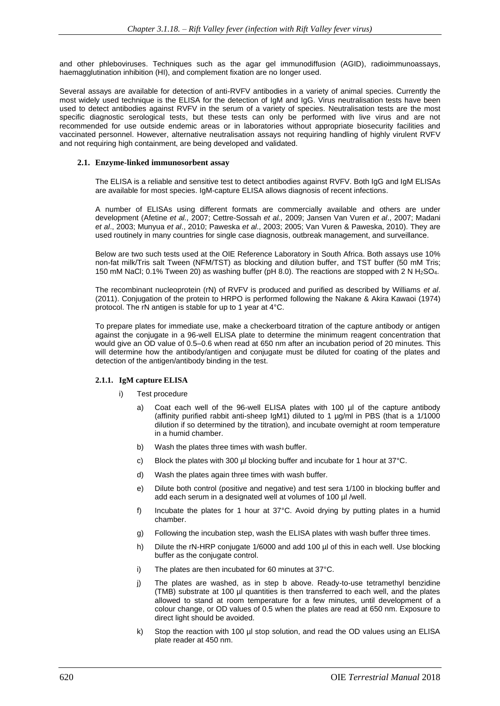and other phleboviruses. Techniques such as the agar gel immunodiffusion (AGID), radioimmunoassays, haemagglutination inhibition (HI), and complement fixation are no longer used.

Several assays are available for detection of anti-RVFV antibodies in a variety of animal species. Currently the most widely used technique is the ELISA for the detection of IgM and IgG. Virus neutralisation tests have been used to detect antibodies against RVFV in the serum of a variety of species. Neutralisation tests are the most specific diagnostic serological tests, but these tests can only be performed with live virus and are not recommended for use outside endemic areas or in laboratories without appropriate biosecurity facilities and vaccinated personnel. However, alternative neutralisation assays not requiring handling of highly virulent RVFV and not requiring high containment, are being developed and validated.

#### **2.1. Enzyme-linked immunosorbent assay**

The ELISA is a reliable and sensitive test to detect antibodies against RVFV. Both IgG and IgM ELISAs are available for most species. IgM-capture ELISA allows diagnosis of recent infections.

A number of ELISAs using different formats are commercially available and others are under development (Afetine *et al.,* 2007; Cettre-Sossah *et al.,* 2009; Jansen Van Vuren *et al*., 2007; Madani *et al*., 2003; Munyua *et al*., 2010; Paweska *et al*., 2003; 2005; Van Vuren & Paweska, 2010). They are used routinely in many countries for single case diagnosis, outbreak management, and surveillance.

Below are two such tests used at the OIE Reference Laboratory in South Africa. Both assays use 10% non-fat milk/Tris salt Tween (NFM/TST) as blocking and dilution buffer, and TST buffer (50 mM Tris; 150 mM NaCl; 0.1% Tween 20) as washing buffer (pH 8.0). The reactions are stopped with 2 N H2SO4.

The recombinant nucleoprotein (rN) of RVFV is produced and purified as described by Williams *et al*. (2011). Conjugation of the protein to HRPO is performed following the Nakane & Akira Kawaoi (1974) protocol. The rN antigen is stable for up to 1 year at 4°C.

To prepare plates for immediate use, make a checkerboard titration of the capture antibody or antigen against the conjugate in a 96-well ELISA plate to determine the minimum reagent concentration that would give an OD value of 0.5–0.6 when read at 650 nm after an incubation period of 20 minutes. This will determine how the antibody/antigen and conjugate must be diluted for coating of the plates and detection of the antigen/antibody binding in the test.

# **2.1.1. IgM capture ELISA**

- i) Test procedure
	- a) Coat each well of the 96-well ELISA plates with 100 µl of the capture antibody (affinity purified rabbit anti-sheep IgM1) diluted to 1 µg/ml in PBS (that is a 1/1000 dilution if so determined by the titration), and incubate overnight at room temperature in a humid chamber.
	- b) Wash the plates three times with wash buffer.
	- c) Block the plates with 300 µl blocking buffer and incubate for 1 hour at 37°C.
	- d) Wash the plates again three times with wash buffer.
	- e) Dilute both control (positive and negative) and test sera 1/100 in blocking buffer and add each serum in a designated well at volumes of 100 µl /well.
	- f) Incubate the plates for 1 hour at 37°C. Avoid drying by putting plates in a humid chamber.
	- g) Following the incubation step, wash the ELISA plates with wash buffer three times.
	- h) Dilute the rN-HRP conjugate 1/6000 and add 100 µl of this in each well. Use blocking buffer as the conjugate control.
	- i) The plates are then incubated for 60 minutes at 37°C.
	- j) The plates are washed, as in step b above. Ready-to-use tetramethyl benzidine (TMB) substrate at 100 µl quantities is then transferred to each well, and the plates allowed to stand at room temperature for a few minutes, until development of a colour change, or OD values of 0.5 when the plates are read at 650 nm. Exposure to direct light should be avoided.
	- k) Stop the reaction with 100 µl stop solution, and read the OD values using an ELISA plate reader at 450 nm.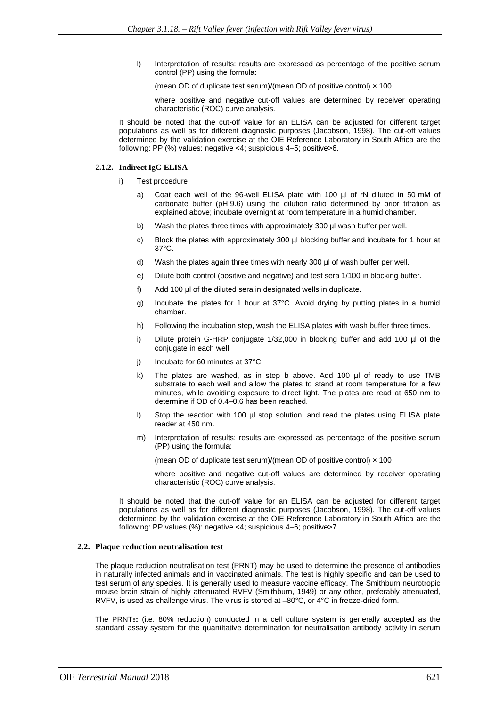l) Interpretation of results: results are expressed as percentage of the positive serum control (PP) using the formula:

(mean OD of duplicate test serum)/(mean OD of positive control)  $\times$  100

where positive and negative cut-off values are determined by receiver operating characteristic (ROC) curve analysis.

It should be noted that the cut-off value for an ELISA can be adjusted for different target populations as well as for different diagnostic purposes (Jacobson, 1998). The cut-off values determined by the validation exercise at the OIE Reference Laboratory in South Africa are the following: PP (%) values: negative <4; suspicious 4–5; positive>6.

#### **2.1.2. Indirect IgG ELISA**

- i) Test procedure
	- a) Coat each well of the 96-well ELISA plate with 100 µl of rN diluted in 50 mM of carbonate buffer (pH 9.6) using the dilution ratio determined by prior titration as explained above; incubate overnight at room temperature in a humid chamber.
	- b) Wash the plates three times with approximately 300 µl wash buffer per well.
	- c) Block the plates with approximately 300 µl blocking buffer and incubate for 1 hour at 37°C.
	- d) Wash the plates again three times with nearly 300 µl of wash buffer per well.
	- e) Dilute both control (positive and negative) and test sera 1/100 in blocking buffer.
	- f) Add 100 µl of the diluted sera in designated wells in duplicate.
	- g) Incubate the plates for 1 hour at 37°C. Avoid drying by putting plates in a humid chamber.
	- h) Following the incubation step, wash the ELISA plates with wash buffer three times.
	- i) Dilute protein G-HRP conjugate 1/32,000 in blocking buffer and add 100 µl of the conjugate in each well.
	- j) Incubate for 60 minutes at 37°C.
	- k) The plates are washed, as in step b above. Add 100 µl of ready to use TMB substrate to each well and allow the plates to stand at room temperature for a few minutes, while avoiding exposure to direct light. The plates are read at 650 nm to determine if OD of 0.4–0.6 has been reached.
	- l) Stop the reaction with 100 µl stop solution, and read the plates using ELISA plate reader at 450 nm.
	- m) Interpretation of results: results are expressed as percentage of the positive serum (PP) using the formula:

(mean OD of duplicate test serum)/(mean OD of positive control)  $\times$  100

where positive and negative cut-off values are determined by receiver operating characteristic (ROC) curve analysis.

It should be noted that the cut-off value for an ELISA can be adjusted for different target populations as well as for different diagnostic purposes (Jacobson, 1998). The cut-off values determined by the validation exercise at the OIE Reference Laboratory in South Africa are the following: PP values (%): negative <4; suspicious 4–6; positive>7.

# **2.2. Plaque reduction neutralisation test**

The plaque reduction neutralisation test (PRNT) may be used to determine the presence of antibodies in naturally infected animals and in vaccinated animals. The test is highly specific and can be used to test serum of any species. It is generally used to measure vaccine efficacy. The Smithburn neurotropic mouse brain strain of highly attenuated RVFV (Smithburn, 1949) or any other, preferably attenuated, RVFV, is used as challenge virus. The virus is stored at –80°C, or 4°C in freeze-dried form.

The  $PRNT<sub>80</sub>$  (i.e. 80% reduction) conducted in a cell culture system is generally accepted as the standard assay system for the quantitative determination for neutralisation antibody activity in serum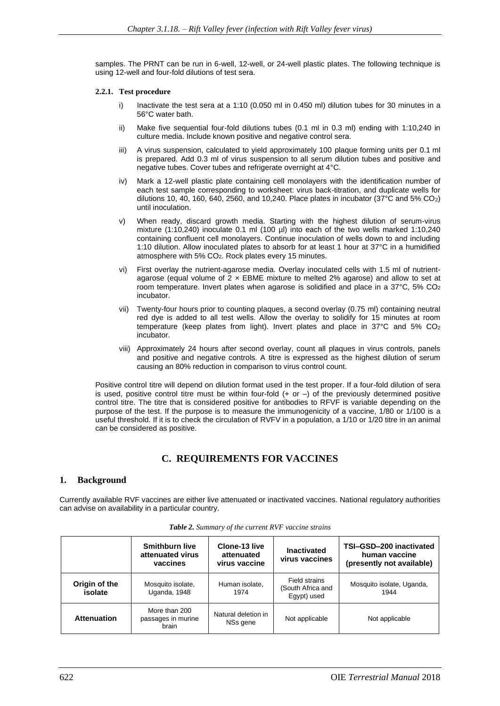samples. The PRNT can be run in 6-well, 12-well, or 24-well plastic plates. The following technique is using 12-well and four-fold dilutions of test sera.

#### **2.2.1. Test procedure**

- i) Inactivate the test sera at a 1:10 (0.050 ml in 0.450 ml) dilution tubes for 30 minutes in a 56°C water bath.
- ii) Make five sequential four-fold dilutions tubes (0.1 ml in 0.3 ml) ending with 1:10,240 in culture media. Include known positive and negative control sera.
- iii) A virus suspension, calculated to yield approximately 100 plaque forming units per 0.1 ml is prepared. Add 0.3 ml of virus suspension to all serum dilution tubes and positive and negative tubes. Cover tubes and refrigerate overnight at 4°C.
- iv) Mark a 12-well plastic plate containing cell monolayers with the identification number of each test sample corresponding to worksheet: virus back-titration, and duplicate wells for dilutions 10, 40, 160, 640, 2560, and 10, 240. Place plates in incubator (37 $\textdegree$ C and 5% CO<sub>2</sub>) until inoculation.
- v) When ready, discard growth media. Starting with the highest dilution of serum-virus mixture (1:10,240) inoculate 0.1 ml (100 µl) into each of the two wells marked 1:10,240 containing confluent cell monolayers. Continue inoculation of wells down to and including 1:10 dilution. Allow inoculated plates to absorb for at least 1 hour at 37°C in a humidified atmosphere with 5% CO2. Rock plates every 15 minutes.
- vi) First overlay the nutrient-agarose media. Overlay inoculated cells with 1.5 ml of nutrientagarose (equal volume of  $2 \times$  EBME mixture to melted  $2\%$  agarose) and allow to set at room temperature. Invert plates when agarose is solidified and place in a  $37^{\circ}$ C,  $5\%$  CO<sub>2</sub> incubator.
- vii) Twenty-four hours prior to counting plaques, a second overlay (0.75 ml) containing neutral red dye is added to all test wells. Allow the overlay to solidify for 15 minutes at room temperature (keep plates from light). Invert plates and place in  $37^{\circ}$ C and  $5\%$  CO<sub>2</sub> incubator.
- viii) Approximately 24 hours after second overlay, count all plaques in virus controls, panels and positive and negative controls. A titre is expressed as the highest dilution of serum causing an 80% reduction in comparison to virus control count.

Positive control titre will depend on dilution format used in the test proper. If a four-fold dilution of sera is used, positive control titre must be within four-fold  $(+ or -)$  of the previously determined positive control titre. The titre that is considered positive for antibodies to RFVF is variable depending on the purpose of the test. If the purpose is to measure the immunogenicity of a vaccine, 1/80 or 1/100 is a useful threshold. If it is to check the circulation of RVFV in a population, a 1/10 or 1/20 titre in an animal can be considered as positive.

# **C. REQUIREMENTS FOR VACCINES**

# **1. Background**

Currently available RVF vaccines are either live attenuated or inactivated vaccines. National regulatory authorities can advise on availability in a particular country.

|                          | <b>Smithburn live</b><br>attenuated virus<br>vaccines | Clone-13 live<br>attenuated<br>virus vaccine | <b>Inactivated</b><br>virus vaccines              | TSI-GSD-200 inactivated<br>human vaccine<br>(presently not available) |
|--------------------------|-------------------------------------------------------|----------------------------------------------|---------------------------------------------------|-----------------------------------------------------------------------|
| Origin of the<br>isolate | Mosquito isolate,<br>Uganda, 1948                     | Human isolate,<br>1974                       | Field strains<br>(South Africa and<br>Egypt) used | Mosquito isolate, Uganda,<br>1944                                     |
| <b>Attenuation</b>       | More than 200<br>passages in murine<br>brain          | Natural deletion in<br>NSs gene              | Not applicable                                    | Not applicable                                                        |

*Table 2. Summary of the current RVF vaccine strains*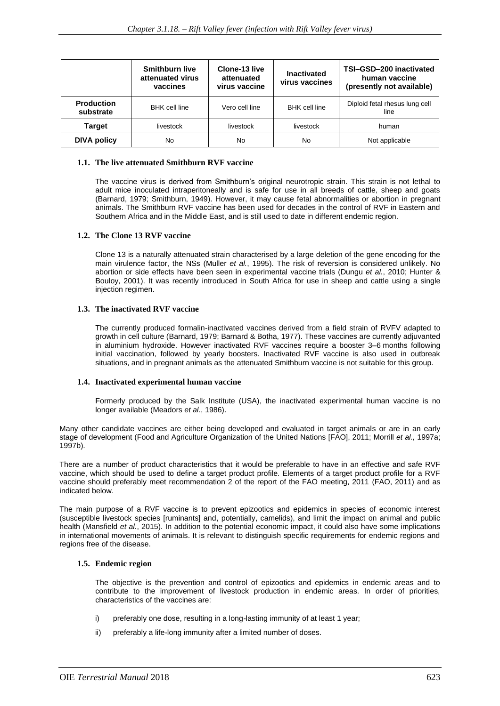|                                | <b>Smithburn live</b><br>attenuated virus<br>vaccines | Clone-13 live<br>attenuated<br>virus vaccine | <b>Inactivated</b><br>virus vaccines | TSI-GSD-200 inactivated<br>human vaccine<br>(presently not available) |
|--------------------------------|-------------------------------------------------------|----------------------------------------------|--------------------------------------|-----------------------------------------------------------------------|
| <b>Production</b><br>substrate | <b>BHK</b> cell line                                  | Vero cell line                               | <b>BHK</b> cell line                 | Diploid fetal rhesus lung cell<br>line                                |
| <b>Target</b>                  | livestock                                             | livestock                                    | livestock                            | human                                                                 |
| <b>DIVA policy</b>             | <b>No</b>                                             | No                                           | No                                   | Not applicable                                                        |

# **1.1. The live attenuated Smithburn RVF vaccine**

The vaccine virus is derived from Smithburn's original neurotropic strain. This strain is not lethal to adult mice inoculated intraperitoneally and is safe for use in all breeds of cattle, sheep and goats (Barnard, 1979; Smithburn, 1949). However, it may cause fetal abnormalities or abortion in pregnant animals. The Smithburn RVF vaccine has been used for decades in the control of RVF in Eastern and Southern Africa and in the Middle East, and is still used to date in different endemic region.

# **1.2. The Clone 13 RVF vaccine**

Clone 13 is a naturally attenuated strain characterised by a large deletion of the gene encoding for the main virulence factor, the NSs (Muller *et al.*, 1995). The risk of reversion is considered unlikely. No abortion or side effects have been seen in experimental vaccine trials (Dungu *et al.*, 2010; Hunter & Bouloy, 2001). It was recently introduced in South Africa for use in sheep and cattle using a single injection regimen.

# **1.3. The inactivated RVF vaccine**

The currently produced formalin-inactivated vaccines derived from a field strain of RVFV adapted to growth in cell culture (Barnard, 1979; Barnard & Botha, 1977). These vaccines are currently adjuvanted in aluminium hydroxide. However inactivated RVF vaccines require a booster 3–6 months following initial vaccination, followed by yearly boosters. Inactivated RVF vaccine is also used in outbreak situations, and in pregnant animals as the attenuated Smithburn vaccine is not suitable for this group.

# **1.4. Inactivated experimental human vaccine**

Formerly produced by the Salk Institute (USA), the inactivated experimental human vaccine is no longer available (Meadors *et al*., 1986).

Many other candidate vaccines are either being developed and evaluated in target animals or are in an early stage of development (Food and Agriculture Organization of the United Nations [FAO], 2011; Morrill *et al.,* 1997a; 1997b).

There are a number of product characteristics that it would be preferable to have in an effective and safe RVF vaccine, which should be used to define a target product profile. Elements of a target product profile for a RVF vaccine should preferably meet recommendation 2 of the report of the FAO meeting, 2011 (FAO, 2011) and as indicated below.

The main purpose of a RVF vaccine is to prevent epizootics and epidemics in species of economic interest (susceptible livestock species [ruminants] and, potentially, camelids), and limit the impact on animal and public health (Mansfield *et al.*, 2015). In addition to the potential economic impact, it could also have some implications in international movements of animals. It is relevant to distinguish specific requirements for endemic regions and regions free of the disease.

# **1.5. Endemic region**

The objective is the prevention and control of epizootics and epidemics in endemic areas and to contribute to the improvement of livestock production in endemic areas. In order of priorities, characteristics of the vaccines are:

- i) preferably one dose, resulting in a long-lasting immunity of at least 1 year;
- ii) preferably a life-long immunity after a limited number of doses.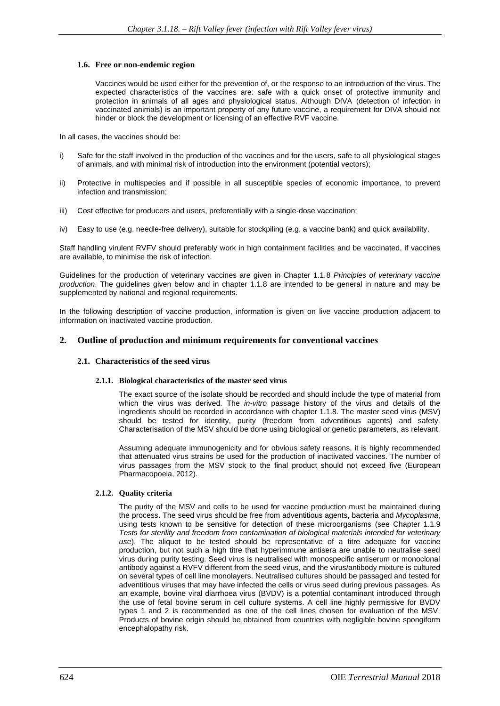#### **1.6. Free or non-endemic region**

Vaccines would be used either for the prevention of, or the response to an introduction of the virus. The expected characteristics of the vaccines are: safe with a quick onset of protective immunity and protection in animals of all ages and physiological status. Although DIVA (detection of infection in vaccinated animals) is an important property of any future vaccine, a requirement for DIVA should not hinder or block the development or licensing of an effective RVF vaccine.

In all cases, the vaccines should be:

- i) Safe for the staff involved in the production of the vaccines and for the users, safe to all physiological stages of animals, and with minimal risk of introduction into the environment (potential vectors);
- ii) Protective in multispecies and if possible in all susceptible species of economic importance, to prevent infection and transmission;
- iii) Cost effective for producers and users, preferentially with a single-dose vaccination;
- iv) Easy to use (e.g. needle-free delivery), suitable for stockpiling (e.g. a vaccine bank) and quick availability.

Staff handling virulent RVFV should preferably work in high containment facilities and be vaccinated, if vaccines are available, to minimise the risk of infection.

Guidelines for the production of veterinary vaccines are given in Chapter 1.1.8 *Principles of veterinary vaccine production*. The guidelines given below and in chapter 1.1.8 are intended to be general in nature and may be supplemented by national and regional requirements.

In the following description of vaccine production, information is given on live vaccine production adjacent to information on inactivated vaccine production.

# **2. Outline of production and minimum requirements for conventional vaccines**

#### **2.1. Characteristics of the seed virus**

#### **2.1.1. Biological characteristics of the master seed virus**

The exact source of the isolate should be recorded and should include the type of material from which the virus was derived. The *in-vitro* passage history of the virus and details of the ingredients should be recorded in accordance with chapter 1.1.8*.* The master seed virus (MSV) should be tested for identity, purity (freedom from adventitious agents) and safety. Characterisation of the MSV should be done using biological or genetic parameters, as relevant.

Assuming adequate immunogenicity and for obvious safety reasons, it is highly recommended that attenuated virus strains be used for the production of inactivated vaccines. The number of virus passages from the MSV stock to the final product should not exceed five (European Pharmacopoeia, 2012).

# **2.1.2. Quality criteria**

The purity of the MSV and cells to be used for vaccine production must be maintained during the process. The seed virus should be free from adventitious agents, bacteria and *Mycoplasma*, using tests known to be sensitive for detection of these microorganisms (see Chapter 1.1.9 *Tests for sterility and freedom from contamination of biological materials intended for veterinary use*). The aliquot to be tested should be representative of a titre adequate for vaccine production, but not such a high titre that hyperimmune antisera are unable to neutralise seed virus during purity testing. Seed virus is neutralised with monospecific antiserum or monoclonal antibody against a RVFV different from the seed virus, and the virus/antibody mixture is cultured on several types of cell line monolayers. Neutralised cultures should be passaged and tested for adventitious viruses that may have infected the cells or virus seed during previous passages. As an example, bovine viral diarrhoea virus (BVDV) is a potential contaminant introduced through the use of fetal bovine serum in cell culture systems. A cell line highly permissive for BVDV types 1 and 2 is recommended as one of the cell lines chosen for evaluation of the MSV. Products of bovine origin should be obtained from countries with negligible bovine spongiform encephalopathy risk.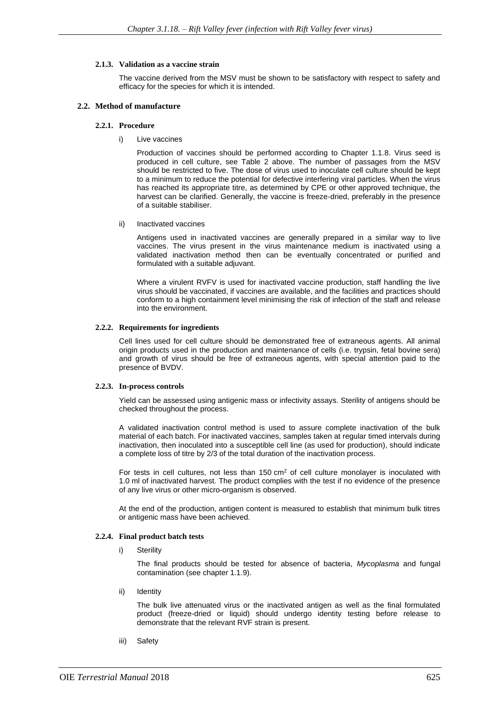#### **2.1.3. Validation as a vaccine strain**

The vaccine derived from the MSV must be shown to be satisfactory with respect to safety and efficacy for the species for which it is intended.

#### **2.2. Method of manufacture**

#### **2.2.1. Procedure**

i) Live vaccines

Production of vaccines should be performed according to Chapter 1.1.8. Virus seed is produced in cell culture, see Table 2 above. The number of passages from the MSV should be restricted to five. The dose of virus used to inoculate cell culture should be kept to a minimum to reduce the potential for defective interfering viral particles. When the virus has reached its appropriate titre, as determined by CPE or other approved technique, the harvest can be clarified. Generally, the vaccine is freeze-dried, preferably in the presence of a suitable stabiliser.

ii) Inactivated vaccines

Antigens used in inactivated vaccines are generally prepared in a similar way to live vaccines. The virus present in the virus maintenance medium is inactivated using a validated inactivation method then can be eventually concentrated or purified and formulated with a suitable adjuvant.

Where a virulent RVFV is used for inactivated vaccine production, staff handling the live virus should be vaccinated, if vaccines are available, and the facilities and practices should conform to a high containment level minimising the risk of infection of the staff and release into the environment.

#### **2.2.2. Requirements for ingredients**

Cell lines used for cell culture should be demonstrated free of extraneous agents. All animal origin products used in the production and maintenance of cells (i.e. trypsin, fetal bovine sera) and growth of virus should be free of extraneous agents, with special attention paid to the presence of BVDV.

# **2.2.3. In-process controls**

Yield can be assessed using antigenic mass or infectivity assays. Sterility of antigens should be checked throughout the process.

A validated inactivation control method is used to assure complete inactivation of the bulk material of each batch. For inactivated vaccines, samples taken at regular timed intervals during inactivation, then inoculated into a susceptible cell line (as used for production), should indicate a complete loss of titre by 2/3 of the total duration of the inactivation process.

For tests in cell cultures, not less than  $150 \text{ cm}^2$  of cell culture monolayer is inoculated with 1.0 ml of inactivated harvest. The product complies with the test if no evidence of the presence of any live virus or other micro-organism is observed.

At the end of the production, antigen content is measured to establish that minimum bulk titres or antigenic mass have been achieved.

# **2.2.4. Final product batch tests**

i) Sterility

The final products should be tested for absence of bacteria, *Mycoplasma* and fungal contamination (see chapter 1.1.9).

ii) Identity

The bulk live attenuated virus or the inactivated antigen as well as the final formulated product (freeze-dried or liquid) should undergo identity testing before release to demonstrate that the relevant RVF strain is present.

iii) Safety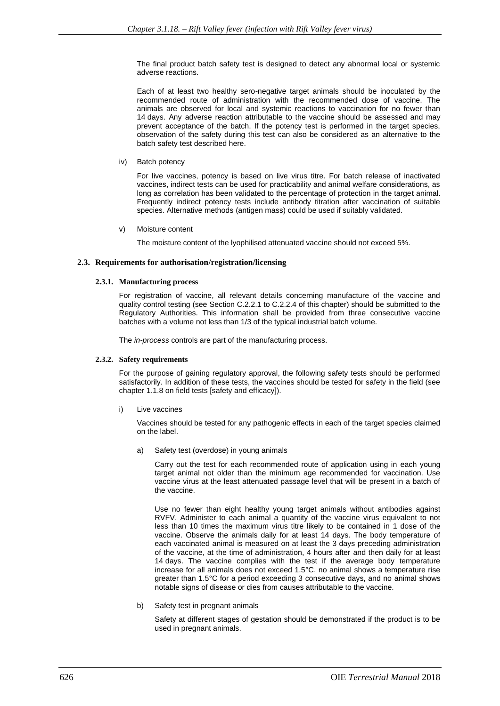The final product batch safety test is designed to detect any abnormal local or systemic adverse reactions.

Each of at least two healthy sero-negative target animals should be inoculated by the recommended route of administration with the recommended dose of vaccine. The animals are observed for local and systemic reactions to vaccination for no fewer than 14 days. Any adverse reaction attributable to the vaccine should be assessed and may prevent acceptance of the batch. If the potency test is performed in the target species, observation of the safety during this test can also be considered as an alternative to the batch safety test described here.

iv) Batch potency

For live vaccines, potency is based on live virus titre. For batch release of inactivated vaccines, indirect tests can be used for practicability and animal welfare considerations, as long as correlation has been validated to the percentage of protection in the target animal. Frequently indirect potency tests include antibody titration after vaccination of suitable species. Alternative methods (antigen mass) could be used if suitably validated.

v) Moisture content

The moisture content of the lyophilised attenuated vaccine should not exceed 5%.

#### **2.3. Requirements for authorisation/registration/licensing**

#### **2.3.1. Manufacturing process**

For registration of vaccine, all relevant details concerning manufacture of the vaccine and quality control testing (see Section C.2.2.1 to C.2.2.4 of this chapter) should be submitted to the Regulatory Authorities. This information shall be provided from three consecutive vaccine batches with a volume not less than 1/3 of the typical industrial batch volume.

The *in-process* controls are part of the manufacturing process.

# **2.3.2. Safety requirements**

For the purpose of gaining regulatory approval, the following safety tests should be performed satisfactorily. In addition of these tests, the vaccines should be tested for safety in the field (see chapter 1.1.8 on field tests [safety and efficacy]).

i) Live vaccines

Vaccines should be tested for any pathogenic effects in each of the target species claimed on the label.

a) Safety test (overdose) in young animals

Carry out the test for each recommended route of application using in each young target animal not older than the minimum age recommended for vaccination. Use vaccine virus at the least attenuated passage level that will be present in a batch of the vaccine.

Use no fewer than eight healthy young target animals without antibodies against RVFV. Administer to each animal a quantity of the vaccine virus equivalent to not less than 10 times the maximum virus titre likely to be contained in 1 dose of the vaccine. Observe the animals daily for at least 14 days. The body temperature of each vaccinated animal is measured on at least the 3 days preceding administration of the vaccine, at the time of administration, 4 hours after and then daily for at least 14 days. The vaccine complies with the test if the average body temperature increase for all animals does not exceed 1.5°C, no animal shows a temperature rise greater than 1.5°C for a period exceeding 3 consecutive days, and no animal shows notable signs of disease or dies from causes attributable to the vaccine.

b) Safety test in pregnant animals

Safety at different stages of gestation should be demonstrated if the product is to be used in pregnant animals.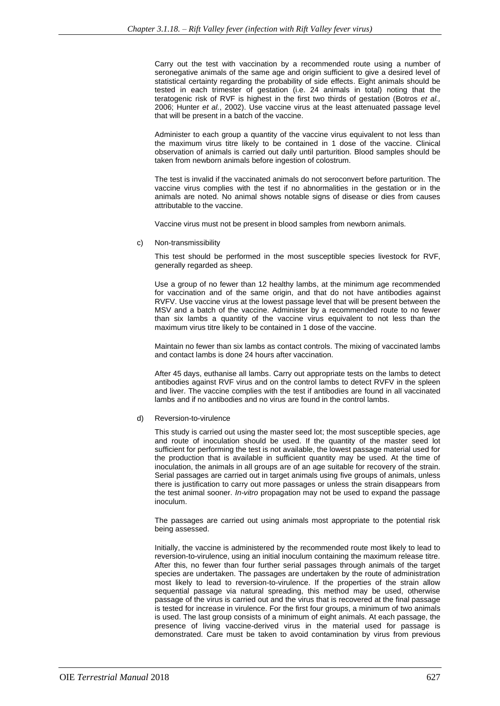Carry out the test with vaccination by a recommended route using a number of seronegative animals of the same age and origin sufficient to give a desired level of statistical certainty regarding the probability of side effects. Eight animals should be tested in each trimester of gestation (i.e. 24 animals in total) noting that the teratogenic risk of RVF is highest in the first two thirds of gestation (Botros *et al.,* 2006; Hunter *et al.*, 2002). Use vaccine virus at the least attenuated passage level that will be present in a batch of the vaccine.

Administer to each group a quantity of the vaccine virus equivalent to not less than the maximum virus titre likely to be contained in 1 dose of the vaccine. Clinical observation of animals is carried out daily until parturition. Blood samples should be taken from newborn animals before ingestion of colostrum.

The test is invalid if the vaccinated animals do not seroconvert before parturition. The vaccine virus complies with the test if no abnormalities in the gestation or in the animals are noted. No animal shows notable signs of disease or dies from causes attributable to the vaccine.

Vaccine virus must not be present in blood samples from newborn animals.

c) Non-transmissibility

This test should be performed in the most susceptible species livestock for RVF, generally regarded as sheep.

Use a group of no fewer than 12 healthy lambs, at the minimum age recommended for vaccination and of the same origin, and that do not have antibodies against RVFV. Use vaccine virus at the lowest passage level that will be present between the MSV and a batch of the vaccine. Administer by a recommended route to no fewer than six lambs a quantity of the vaccine virus equivalent to not less than the maximum virus titre likely to be contained in 1 dose of the vaccine.

Maintain no fewer than six lambs as contact controls. The mixing of vaccinated lambs and contact lambs is done 24 hours after vaccination.

After 45 days, euthanise all lambs. Carry out appropriate tests on the lambs to detect antibodies against RVF virus and on the control lambs to detect RVFV in the spleen and liver. The vaccine complies with the test if antibodies are found in all vaccinated lambs and if no antibodies and no virus are found in the control lambs.

#### d) Reversion-to-virulence

This study is carried out using the master seed lot; the most susceptible species, age and route of inoculation should be used. If the quantity of the master seed lot sufficient for performing the test is not available, the lowest passage material used for the production that is available in sufficient quantity may be used. At the time of inoculation, the animals in all groups are of an age suitable for recovery of the strain. Serial passages are carried out in target animals using five groups of animals, unless there is justification to carry out more passages or unless the strain disappears from the test animal sooner. *In-vitro* propagation may not be used to expand the passage inoculum.

The passages are carried out using animals most appropriate to the potential risk being assessed.

Initially, the vaccine is administered by the recommended route most likely to lead to reversion-to-virulence, using an initial inoculum containing the maximum release titre. After this, no fewer than four further serial passages through animals of the target species are undertaken. The passages are undertaken by the route of administration most likely to lead to reversion-to-virulence. If the properties of the strain allow sequential passage via natural spreading, this method may be used, otherwise passage of the virus is carried out and the virus that is recovered at the final passage is tested for increase in virulence. For the first four groups, a minimum of two animals is used. The last group consists of a minimum of eight animals. At each passage, the presence of living vaccine-derived virus in the material used for passage is demonstrated. Care must be taken to avoid contamination by virus from previous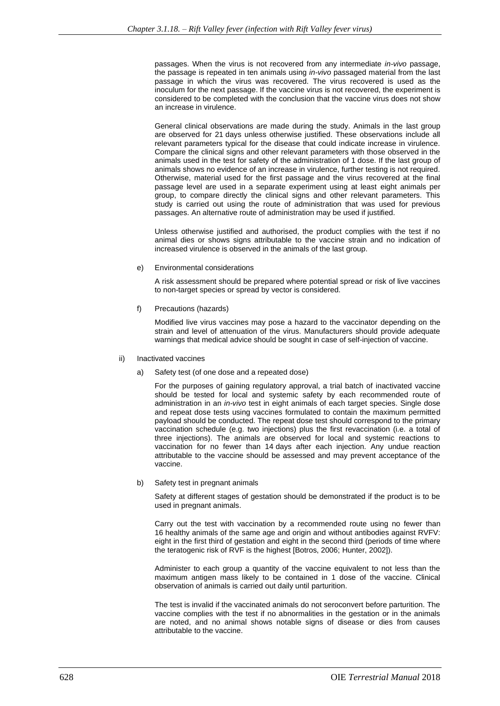passages. When the virus is not recovered from any intermediate *in-vivo* passage, the passage is repeated in ten animals using *in-vivo* passaged material from the last passage in which the virus was recovered. The virus recovered is used as the inoculum for the next passage. If the vaccine virus is not recovered, the experiment is considered to be completed with the conclusion that the vaccine virus does not show an increase in virulence.

General clinical observations are made during the study. Animals in the last group are observed for 21 days unless otherwise justified. These observations include all relevant parameters typical for the disease that could indicate increase in virulence. Compare the clinical signs and other relevant parameters with those observed in the animals used in the test for safety of the administration of 1 dose. If the last group of animals shows no evidence of an increase in virulence, further testing is not required. Otherwise, material used for the first passage and the virus recovered at the final passage level are used in a separate experiment using at least eight animals per group, to compare directly the clinical signs and other relevant parameters. This study is carried out using the route of administration that was used for previous passages. An alternative route of administration may be used if justified.

Unless otherwise justified and authorised, the product complies with the test if no animal dies or shows signs attributable to the vaccine strain and no indication of increased virulence is observed in the animals of the last group.

e) Environmental considerations

A risk assessment should be prepared where potential spread or risk of live vaccines to non-target species or spread by vector is considered.

f) Precautions (hazards)

Modified live virus vaccines may pose a hazard to the vaccinator depending on the strain and level of attenuation of the virus. Manufacturers should provide adequate warnings that medical advice should be sought in case of self-injection of vaccine.

- ii) Inactivated vaccines
	- a) Safety test (of one dose and a repeated dose)

For the purposes of gaining regulatory approval, a trial batch of inactivated vaccine should be tested for local and systemic safety by each recommended route of administration in an *in-vivo* test in eight animals of each target species. Single dose and repeat dose tests using vaccines formulated to contain the maximum permitted payload should be conducted. The repeat dose test should correspond to the primary vaccination schedule (e.g. two injections) plus the first revaccination (i.e. a total of three injections). The animals are observed for local and systemic reactions to vaccination for no fewer than 14 days after each injection. Any undue reaction attributable to the vaccine should be assessed and may prevent acceptance of the vaccine.

b) Safety test in pregnant animals

Safety at different stages of gestation should be demonstrated if the product is to be used in pregnant animals.

Carry out the test with vaccination by a recommended route using no fewer than 16 healthy animals of the same age and origin and without antibodies against RVFV: eight in the first third of gestation and eight in the second third (periods of time where the teratogenic risk of RVF is the highest [Botros, 2006; Hunter, 2002]).

Administer to each group a quantity of the vaccine equivalent to not less than the maximum antigen mass likely to be contained in 1 dose of the vaccine. Clinical observation of animals is carried out daily until parturition.

The test is invalid if the vaccinated animals do not seroconvert before parturition. The vaccine complies with the test if no abnormalities in the gestation or in the animals are noted, and no animal shows notable signs of disease or dies from causes attributable to the vaccine.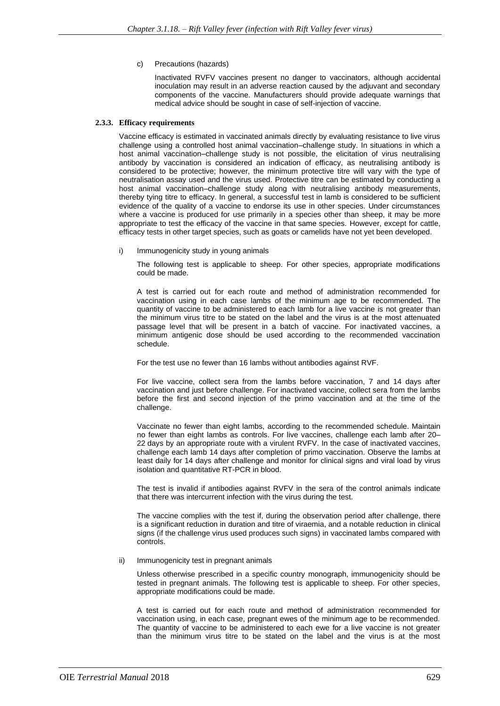c) Precautions (hazards)

Inactivated RVFV vaccines present no danger to vaccinators, although accidental inoculation may result in an adverse reaction caused by the adjuvant and secondary components of the vaccine. Manufacturers should provide adequate warnings that medical advice should be sought in case of self-injection of vaccine.

#### **2.3.3. Efficacy requirements**

Vaccine efficacy is estimated in vaccinated animals directly by evaluating resistance to live virus challenge using a controlled host animal vaccination–challenge study. In situations in which a host animal vaccination–challenge study is not possible, the elicitation of virus neutralising antibody by vaccination is considered an indication of efficacy, as neutralising antibody is considered to be protective; however, the minimum protective titre will vary with the type of neutralisation assay used and the virus used. Protective titre can be estimated by conducting a host animal vaccination–challenge study along with neutralising antibody measurements, thereby tying titre to efficacy. In general, a successful test in lamb is considered to be sufficient evidence of the quality of a vaccine to endorse its use in other species. Under circumstances where a vaccine is produced for use primarily in a species other than sheep, it may be more appropriate to test the efficacy of the vaccine in that same species. However, except for cattle, efficacy tests in other target species, such as goats or camelids have not yet been developed.

i) Immunogenicity study in young animals

The following test is applicable to sheep. For other species, appropriate modifications could be made.

A test is carried out for each route and method of administration recommended for vaccination using in each case lambs of the minimum age to be recommended. The quantity of vaccine to be administered to each lamb for a live vaccine is not greater than the minimum virus titre to be stated on the label and the virus is at the most attenuated passage level that will be present in a batch of vaccine. For inactivated vaccines, a minimum antigenic dose should be used according to the recommended vaccination schedule.

For the test use no fewer than 16 lambs without antibodies against RVF.

For live vaccine, collect sera from the lambs before vaccination, 7 and 14 days after vaccination and just before challenge. For inactivated vaccine, collect sera from the lambs before the first and second injection of the primo vaccination and at the time of the challenge.

Vaccinate no fewer than eight lambs, according to the recommended schedule. Maintain no fewer than eight lambs as controls. For live vaccines, challenge each lamb after 20– 22 days by an appropriate route with a virulent RVFV. In the case of inactivated vaccines, challenge each lamb 14 days after completion of primo vaccination. Observe the lambs at least daily for 14 days after challenge and monitor for clinical signs and viral load by virus isolation and quantitative RT-PCR in blood.

The test is invalid if antibodies against RVFV in the sera of the control animals indicate that there was intercurrent infection with the virus during the test.

The vaccine complies with the test if, during the observation period after challenge, there is a significant reduction in duration and titre of viraemia, and a notable reduction in clinical signs (if the challenge virus used produces such signs) in vaccinated lambs compared with controls.

#### ii) Immunogenicity test in pregnant animals

Unless otherwise prescribed in a specific country monograph, immunogenicity should be tested in pregnant animals. The following test is applicable to sheep. For other species, appropriate modifications could be made.

A test is carried out for each route and method of administration recommended for vaccination using, in each case, pregnant ewes of the minimum age to be recommended. The quantity of vaccine to be administered to each ewe for a live vaccine is not greater than the minimum virus titre to be stated on the label and the virus is at the most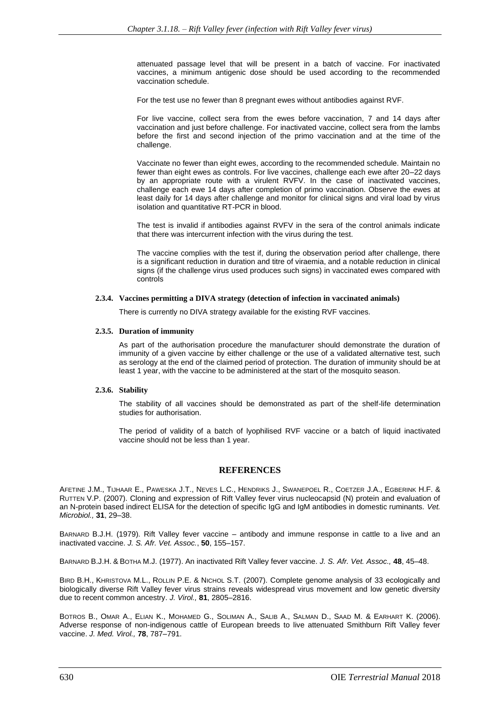attenuated passage level that will be present in a batch of vaccine. For inactivated vaccines, a minimum antigenic dose should be used according to the recommended vaccination schedule.

For the test use no fewer than 8 pregnant ewes without antibodies against RVF.

For live vaccine, collect sera from the ewes before vaccination, 7 and 14 days after vaccination and just before challenge. For inactivated vaccine, collect sera from the lambs before the first and second injection of the primo vaccination and at the time of the challenge.

Vaccinate no fewer than eight ewes, according to the recommended schedule. Maintain no fewer than eight ewes as controls. For live vaccines, challenge each ewe after 20–22 days by an appropriate route with a virulent RVFV. In the case of inactivated vaccines, challenge each ewe 14 days after completion of primo vaccination. Observe the ewes at least daily for 14 days after challenge and monitor for clinical signs and viral load by virus isolation and quantitative RT-PCR in blood.

The test is invalid if antibodies against RVFV in the sera of the control animals indicate that there was intercurrent infection with the virus during the test.

The vaccine complies with the test if, during the observation period after challenge, there is a significant reduction in duration and titre of viraemia, and a notable reduction in clinical signs (if the challenge virus used produces such signs) in vaccinated ewes compared with controls

#### **2.3.4. Vaccines permitting a DIVA strategy (detection of infection in vaccinated animals)**

There is currently no DIVA strategy available for the existing RVF vaccines.

#### **2.3.5. Duration of immunity**

As part of the authorisation procedure the manufacturer should demonstrate the duration of immunity of a given vaccine by either challenge or the use of a validated alternative test, such as serology at the end of the claimed period of protection. The duration of immunity should be at least 1 year, with the vaccine to be administered at the start of the mosquito season.

#### **2.3.6. Stability**

The stability of all vaccines should be demonstrated as part of the shelf-life determination studies for authorisation.

The period of validity of a batch of lyophilised RVF vaccine or a batch of liquid inactivated vaccine should not be less than 1 year.

# **REFERENCES**

AFETINE J.M., TIJHAAR E., PAWESKA J.T., NEVES L.C., HENDRIKS J., SWANEPOEL R., COETZER J.A., EGBERINK H.F. & RUTTEN V.P. (2007). Cloning and expression of Rift Valley fever virus nucleocapsid (N) protein and evaluation of an N-protein based indirect ELISA for the detection of specific IgG and IgM antibodies in domestic ruminants. *Vet. Microbiol.,* **31**, 29–38.

BARNARD B.J.H. (1979). Rift Valley fever vaccine *–* antibody and immune response in cattle to a live and an inactivated vaccine. *J. S. Afr. Vet. Assoc.*, **50**, 155–157.

BARNARD B.J.H. & BOTHA M.J. (1977). An inactivated Rift Valley fever vaccine. *J. S. Afr. Vet. Assoc.,* **48**, 45–48.

BIRD B.H., KHRISTOVA M.L., ROLLIN P.E. & NICHOL S.T. (2007). Complete genome analysis of 33 ecologically and biologically diverse Rift Valley fever virus strains reveals widespread virus movement and low genetic diversity due to recent common ancestry. *J. Virol.,* **81**, 2805–2816.

BOTROS B., OMAR A., ELIAN K., MOHAMED G., SOLIMAN A., SALIB A., SALMAN D., SAAD M. & EARHART K. (2006). Adverse response of non-indigenous cattle of European breeds to live attenuated Smithburn Rift Valley fever vaccine. *J. Med. Virol.,* **78**, 787–791.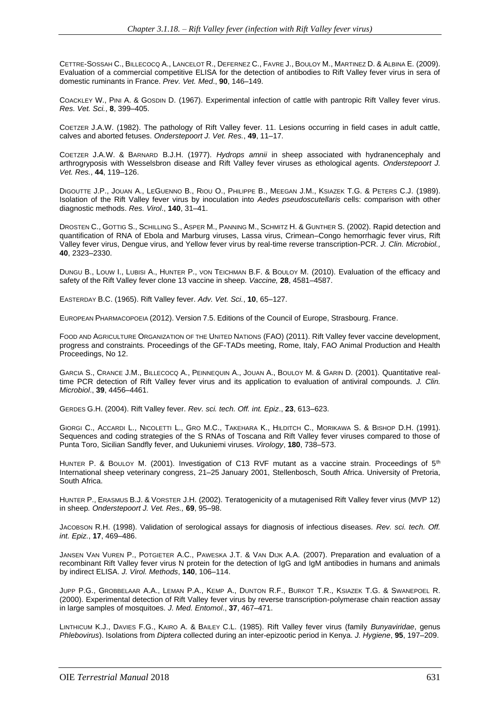CETTRE-SOSSAH C., BILLECOCQ A., LANCELOT R., DEFERNEZ C., FAVRE J., BOULOY M., MARTINEZ D. & ALBINA E. (2009). Evaluation of a commercial competitive ELISA for the detection of antibodies to Rift Valley fever virus in sera of domestic ruminants in France. *Prev. Vet. Med*., **90**, 146–149.

COACKLEY W., PINI A. & GOSDIN D. (1967). Experimental infection of cattle with pantropic Rift Valley fever virus. *Res. Vet. Sci.*, **8**, 399–405.

COETZER J.A.W. (1982). The pathology of Rift Valley fever. 11. Lesions occurring in field cases in adult cattle, calves and aborted fetuses. *Onderstepoort J. Vet. Res.*, **49**, 11–17.

COETZER J.A.W. & BARNARD B.J.H. (1977). *Hydrops amnii* in sheep associated with hydranencephaly and arthrogryposis with Wesselsbron disease and Rift Valley fever viruses as ethological agents. *Onderstepoort J. Vet. Res.*, **44**, 119–126.

DIGOUTTE J.P., JOUAN A., LEGUENNO B., RIOU O., PHILIPPE B., MEEGAN J.M., KSIAZEK T.G. & PETERS C.J. (1989). Isolation of the Rift Valley fever virus by inoculation into *Aedes pseudoscutellaris* cells: comparison with other diagnostic methods. *Res. Virol*., **140**, 31–41.

DROSTEN C., GOTTIG S., SCHILLING S., ASPER M., PANNING M., SCHMITZ H. & GUNTHER S. (2002). Rapid detection and quantification of RNA of Ebola and Marburg viruses, Lassa virus, Crimean–Congo hemorrhagic fever virus, Rift Valley fever virus, Dengue virus, and Yellow fever virus by real-time reverse transcription-PCR. *J. Clin. Microbiol.,* **40**, 2323–2330.

DUNGU B., LOUW I., LUBISI A., HUNTER P., VON TEICHMAN B.F. & BOULOY M. (2010). Evaluation of the efficacy and safety of the Rift Valley fever clone 13 vaccine in sheep. *Vaccine,* **28**, 4581–4587.

EASTERDAY B.C. (1965). Rift Valley fever. *Adv. Vet. Sci.*, **10**, 65–127.

EUROPEAN PHARMACOPOEIA (2012). Version 7.5. Editions of the Council of Europe, Strasbourg. France.

FOOD AND AGRICULTURE ORGANIZATION OF THE UNITED NATIONS (FAO) (2011). Rift Valley fever vaccine development, progress and constraints. Proceedings of the GF-TADs meeting, Rome, Italy, FAO Animal Production and Health Proceedings, No 12.

GARCIA S., CRANCE J.M., BILLECOCQ A., PEINNEQUIN A., JOUAN A., BOULOY M. & GARIN D. (2001). Quantitative realtime PCR detection of Rift Valley fever virus and its application to evaluation of antiviral compounds. *J. Clin. Microbiol*., **39**, 4456–4461.

GERDES G.H. (2004). Rift Valley fever. *Rev. sci. tech. Off. int. Epiz*., **23**, 613–623.

GIORGI C., ACCARDI L., NICOLETTI L., GRO M.C., TAKEHARA K., HILDITCH C., MORIKAWA S. & BISHOP D.H. (1991). Sequences and coding strategies of the S RNAs of Toscana and Rift Valley fever viruses compared to those of Punta Toro, Sicilian Sandfly fever, and Uukuniemi viruses. *Virology*, **180**, 738–573.

HUNTER P. & BOULOY M. (2001). Investigation of C13 RVF mutant as a vaccine strain. Proceedings of 5<sup>th</sup> International sheep veterinary congress, 21–25 January 2001, Stellenbosch, South Africa. University of Pretoria, South Africa.

HUNTER P., ERASMUS B.J. & VORSTER J.H. (2002). Teratogenicity of a mutagenised Rift Valley fever virus (MVP 12) in sheep*. Onderstepoort J. Vet. Res.,* **69**, 95–98.

JACOBSON R.H. (1998). Validation of serological assays for diagnosis of infectious diseases. *Rev. sci. tech. Off. int. Epiz.*, **17**, 469–486.

JANSEN VAN VUREN P., POTGIETER A.C., PAWESKA J.T. & VAN DIJK A.A. (2007). Preparation and evaluation of a recombinant Rift Valley fever virus N protein for the detection of IgG and IgM antibodies in humans and animals by indirect ELISA. *J. Virol. Methods*, **140**, 106–114.

JUPP P.G., GROBBELAAR A.A., LEMAN P.A., KEMP A., DUNTON R.F., BURKOT T.R., KSIAZEK T.G. & SWANEPOEL R. (2000). Experimental detection of Rift Valley fever virus by reverse transcription-polymerase chain reaction assay in large samples of mosquitoes. *J. Med. Entomol*., **37**, 467–471.

LINTHICUM K.J., DAVIES F.G., KAIRO A. & BAILEY C.L. (1985). Rift Valley fever virus (family *Bunyaviridae*, genus *Phlebovirus*). Isolations from *Diptera* collected during an inter-epizootic period in Kenya. *J. Hygiene*, **95**, 197–209.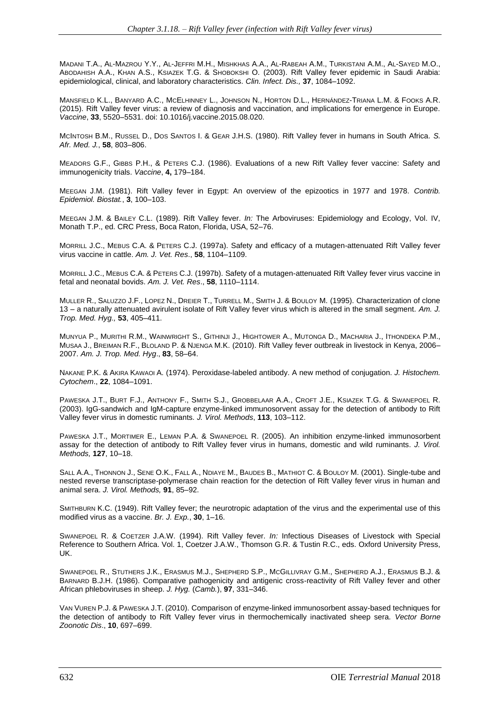MADANI T.A., AL-MAZROU Y.Y., AL-JEFFRI M.H., MISHKHAS A.A., AL-RABEAH A.M., TURKISTANI A.M., AL-SAYED M.O., ABODAHISH A.A., KHAN A.S., KSIAZEK T.G. & SHOBOKSHI O. (2003). Rift Valley fever epidemic in Saudi Arabia: epidemiological, clinical, and laboratory characteristics. *Clin. Infect. Dis.,* **37**, 1084–1092.

MANSFIELD K.L., BANYARD A.C., MCELHINNEY L., JOHNSON N., HORTON D.L., HERNÁNDEZ-TRIANA L.M. & FOOKS A.R. (2015). Rift Valley fever virus: a review of diagnosis and vaccination, and implications for emergence in Europe. *Vaccine*, **33**, 5520–5531. doi: 10.1016/j.vaccine.2015.08.020.

MCINTOSH B.M., RUSSEL D., DOS SANTOS I. & GEAR J.H.S. (1980). Rift Valley fever in humans in South Africa. *S. Afr. Med. J.*, **58**, 803–806.

MEADORS G.F., GIBBS P.H., & PETERS C.J. (1986). Evaluations of a new Rift Valley fever vaccine: Safety and immunogenicity trials. *Vaccine*, **4,** 179–184.

MEEGAN J.M. (1981). Rift Valley fever in Egypt: An overview of the epizootics in 1977 and 1978. *Contrib. Epidemiol. Biostat.*, **3**, 100–103.

MEEGAN J.M. & BAILEY C.L. (1989). Rift Valley fever. *In:* The Arboviruses: Epidemiology and Ecology, Vol. IV, Monath T.P., ed. CRC Press, Boca Raton, Florida, USA, 52–76.

MORRILL J.C., MEBUS C.A. & PETERS C.J. (1997a). Safety and efficacy of a mutagen-attenuated Rift Valley fever virus vaccine in cattle. *Am. J. Vet. Res*., **58**, 1104–1109.

MORRILL J.C., MEBUS C.A. & PETERS C.J. (1997b). Safety of a mutagen-attenuated Rift Valley fever virus vaccine in fetal and neonatal bovids. *Am. J. Vet. Res*., **58**, 1110–1114.

MULLER R., SALUZZO J.F., LOPEZ N., DREIER T., TURRELL M., SMITH J. & BOULOY M. (1995). Characterization of clone 13 – a naturally attenuated avirulent isolate of Rift Valley fever virus which is altered in the small segment*. Am. J. Trop. Med. Hyg.,* **53**, 405–411.

MUNYUA P., MURITHI R.M., WAINWRIGHT S., GITHINJI J., HIGHTOWER A., MUTONGA D., MACHARIA J., ITHONDEKA P.M., MUSAA J., BREIMAN R.F., BLOLAND P. & NJENGA M.K. (2010). Rift Valley fever outbreak in livestock in Kenya, 2006– 2007. *Am. J. Trop. Med. Hyg*., **83**, 58–64.

NAKANE P.K. & AKIRA KAWAOI A. (1974). Peroxidase-labeled antibody. A new method of conjugation. *J. Histochem. Cytochem*., **22**, 1084–1091.

PAWESKA J.T., BURT F.J., ANTHONY F., SMITH S.J., GROBBELAAR A.A., CROFT J.E., KSIAZEK T.G. & SWANEPOEL R. (2003). IgG-sandwich and IgM-capture enzyme-linked immunosorvent assay for the detection of antibody to Rift Valley fever virus in domestic ruminants*. J. Virol. Methods*, **113**, 103–112.

PAWESKA J.T., MORTIMER E., LEMAN P.A. & SWANEPOEL R. (2005). An inhibition enzyme-linked immunosorbent assay for the detection of antibody to Rift Valley fever virus in humans, domestic and wild ruminants. *J. Virol. Methods,* **127**, 10–18.

SALL A.A., THONNON J., SENE O.K., FALL A., NDIAYE M., BAUDES B., MATHIOT C. & BOULOY M. (2001). Single-tube and nested reverse transcriptase-polymerase chain reaction for the detection of Rift Valley fever virus in human and animal sera. *J. Virol. Methods,* **91**, 85–92.

SMITHBURN K.C. (1949). Rift Valley fever; the neurotropic adaptation of the virus and the experimental use of this modified virus as a vaccine. *Br. J. Exp.*, **30**, 1–16.

SWANEPOEL R. & COETZER J.A.W. (1994). Rift Valley fever. *In:* Infectious Diseases of Livestock with Special Reference to Southern Africa. Vol. 1, Coetzer J.A.W., Thomson G.R. & Tustin R.C., eds. Oxford University Press, UK.

SWANEPOEL R., STUTHERS J.K., ERASMUS M.J., SHEPHERD S.P., MCGILLIVRAY G.M., SHEPHERD A.J., ERASMUS B.J. & BARNARD B.J.H. (1986). Comparative pathogenicity and antigenic cross-reactivity of Rift Valley fever and other African phleboviruses in sheep. *J. Hyg.* (*Camb.*), **97**, 331–346.

VAN VUREN P.J. & PAWESKA J.T. (2010). Comparison of enzyme-linked immunosorbent assay-based techniques for the detection of antibody to Rift Valley fever virus in thermochemically inactivated sheep sera. *Vector Borne Zoonotic Dis*., **10**, 697–699.